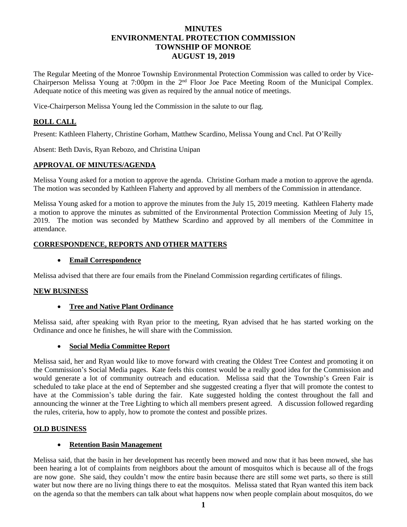# **MINUTES ENVIRONMENTAL PROTECTION COMMISSION TOWNSHIP OF MONROE AUGUST 19, 2019**

The Regular Meeting of the Monroe Township Environmental Protection Commission was called to order by Vice-Chairperson Melissa Young at 7:00pm in the 2nd Floor Joe Pace Meeting Room of the Municipal Complex. Adequate notice of this meeting was given as required by the annual notice of meetings.

Vice-Chairperson Melissa Young led the Commission in the salute to our flag.

### **ROLL CALL**

Present: Kathleen Flaherty, Christine Gorham, Matthew Scardino, Melissa Young and Cncl. Pat O'Reilly

Absent: Beth Davis, Ryan Rebozo, and Christina Unipan

### **APPROVAL OF MINUTES/AGENDA**

Melissa Young asked for a motion to approve the agenda. Christine Gorham made a motion to approve the agenda. The motion was seconded by Kathleen Flaherty and approved by all members of the Commission in attendance.

Melissa Young asked for a motion to approve the minutes from the July 15, 2019 meeting. Kathleen Flaherty made a motion to approve the minutes as submitted of the Environmental Protection Commission Meeting of July 15, 2019. The motion was seconded by Matthew Scardino and approved by all members of the Committee in attendance.

### **CORRESPONDENCE, REPORTS AND OTHER MATTERS**

#### **Email Correspondence**

Melissa advised that there are four emails from the Pineland Commission regarding certificates of filings.

### **NEW BUSINESS**

#### **Tree and Native Plant Ordinance**

Melissa said, after speaking with Ryan prior to the meeting, Ryan advised that he has started working on the Ordinance and once he finishes, he will share with the Commission.

#### **Social Media Committee Report**

Melissa said, her and Ryan would like to move forward with creating the Oldest Tree Contest and promoting it on the Commission's Social Media pages. Kate feels this contest would be a really good idea for the Commission and would generate a lot of community outreach and education. Melissa said that the Township's Green Fair is scheduled to take place at the end of September and she suggested creating a flyer that will promote the contest to have at the Commission's table during the fair. Kate suggested holding the contest throughout the fall and announcing the winner at the Tree Lighting to which all members present agreed. A discussion followed regarding the rules, criteria, how to apply, how to promote the contest and possible prizes.

### **OLD BUSINESS**

### **Retention Basin Management**

Melissa said, that the basin in her development has recently been mowed and now that it has been mowed, she has been hearing a lot of complaints from neighbors about the amount of mosquitos which is because all of the frogs are now gone. She said, they couldn't mow the entire basin because there are still some wet parts, so there is still water but now there are no living things there to eat the mosquitos. Melissa stated that Ryan wanted this item back on the agenda so that the members can talk about what happens now when people complain about mosquitos, do we